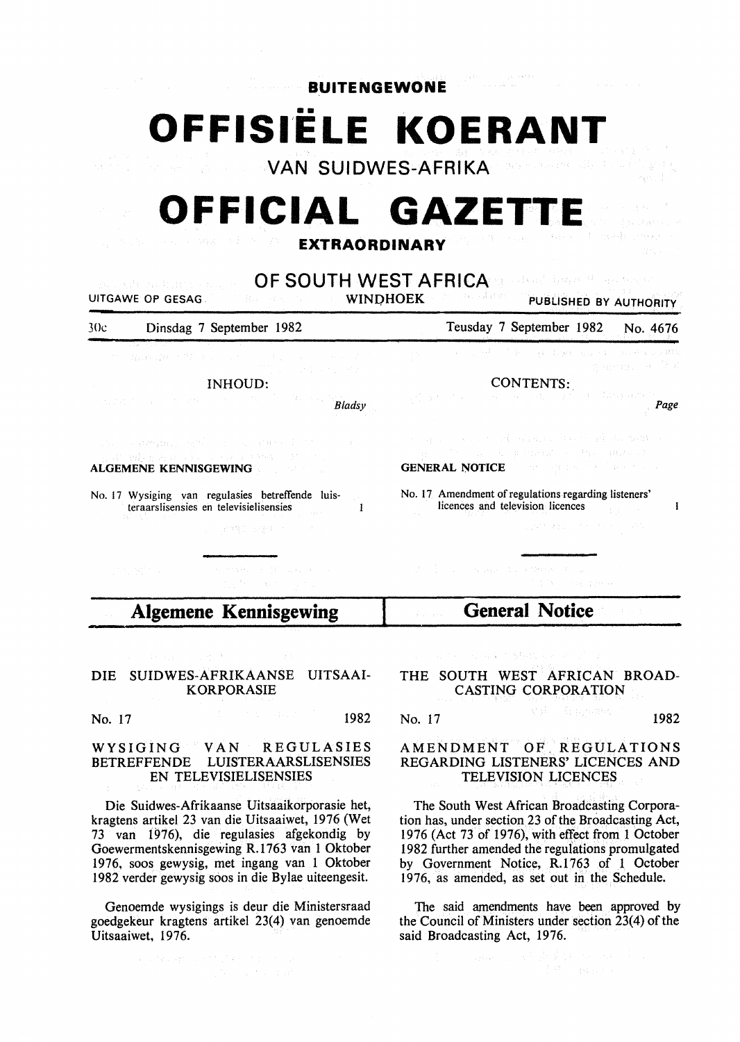**BUITENGEWONE** 

**OFFISIËLE KOERANT** 

**VAN SUIDWES-AFRIKA** 

## **OFFICIAL GAZET**

**EXTRAORDINARY** 

**OF SOUTH WEST AFRICA** UITGAWE OP GESAG PUBLISHED BY AUTHORITY Teusday 7 September 1982 No. 4676 30c Dinsdag 7 September 1982 an ber Here with CONTENTS:. INHOUD: *Bladsy Page*   $\label{eq:G} \mathcal{A}_\theta = \mathop{\mathrm{gr}}\nolimits(\mathcal{A}^{\mathcal{A}}_{\mathcal{A}}(\mathcal{A}^{\mathcal{A}}_{\mathcal{A}})) \times \mathcal{O}(\mathcal{A}^{\mathcal{A}}_{\mathcal{A}}) \times \{ \mathcal{U}_\theta \}_{\theta \in \mathcal{A}} \}$ GENERAL NOTICE ALGEMENE KENNISGEWING No. 17 Amendment of regulations regarding listeners' No. 17 Wysiging van regulasies betreffende luisteraarslisensies en televisielisensies  $\mathbf{I}$ licences and television licences  $\mathbf{I}$ **Algemene Kennisgewing General Notice** 

## DIE SUIDWES-AFRIKAANSE UITSAAI-KORPORASIE

No. 17 1982

## WYSIGING VAN REGULASIES BETREFFENDE LUISTERAARSLISENSIES EN TELEVISIELISENSIES

Die Suidwes-Afrikaanse Uitsaaikorporasie het, kragtens artikel 23 van die Uitsaaiwet, 1976 (Wet 73 van 1976), die regulasies afgekondig by Goewermentskennisgewing R.1763 van 1 Oktober 1976, soos gewysig, met ingang van 1 Oktober 1982 verder gewysig soos in die Bylae uiteengesit.

Genoemde wysigings is deur die Ministersraad goedgekeur kragtens artikel 23(4) van genoemde Uitsaaiwet, 1976.

a contable applicant provide a contab-

THE SOUTH WEST AFRICAN BROAD-CASTING CORPORATION

the Authority

**No. 17** 1982

## AMENDMENT OF. REGULATIONS REGARDING LISTENERS' LICENCES AND TELEVISION LICENCES

The South West African Broadcasting Corporation has, under section 23 of the Broadcasting Act, 1976 (Act 73 of 1976), with effect from 1 October 1982 further amended the regulations promulgated by Government Notice, R.1763 of 1 October 1976, as amerided, as set out in the Schedule.

The said amendments have been approved by the Council of Ministers under section 23(4) of the said Broadcasting Act, 1976.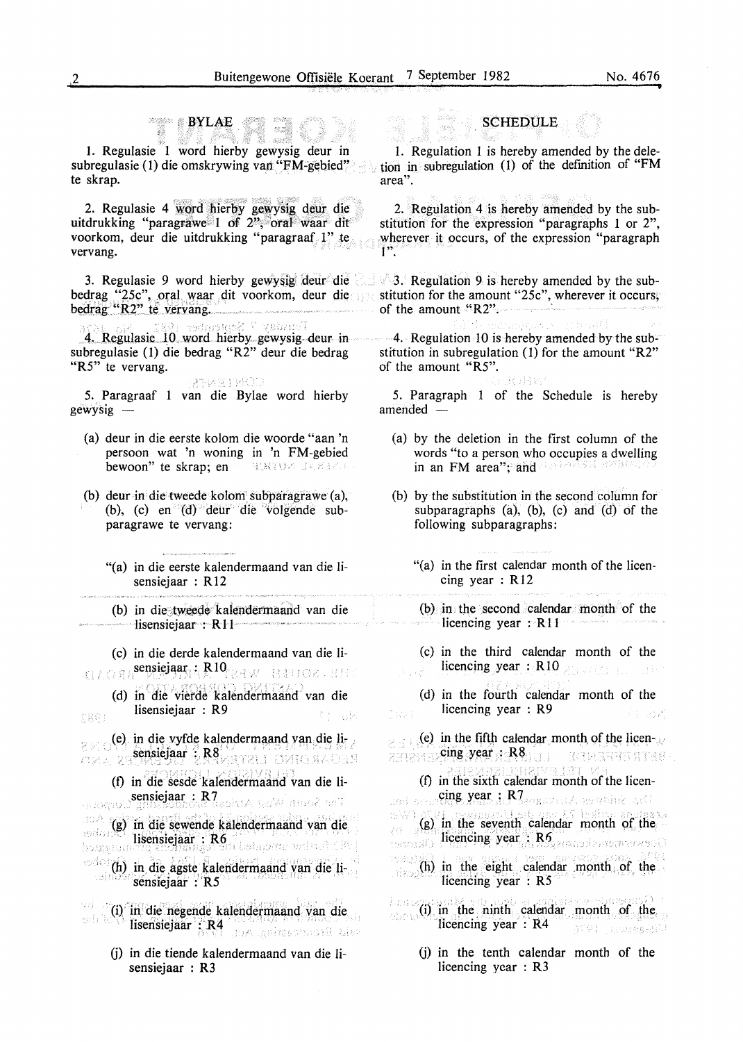BYLAE - anna)

1. Regulasie 1 word hierby gewysig deur in subregulasie (1) die omskrywing van "FM-gebied" te skrap.

2. Regulasie 4 word hierby gewysig deur die uitdrukking "paragrawe"  $1$  of  $2^{\nu}$ ; oral waar dit voorkom, deur die uitdrukking "paragraaf 1" te vervang.

bedrag "25c", .OJ;al. waar dit voorkom, deur die btilrag\_"'k4'' te v.ervang. . stitution for the amount "25c", wherever it occurs;

en and the community of the community of the community of the community of the community of the community of the community of the community of the community of the community of the community of the community of the communi

subregulasie (1) die bedrag "R2" deur die bedrag "R5" te vervang.

*5.* Paragraaf 1 van die Bylae word hierby gewysig -

- (a) deur in die eerste kolom die woorde "aan 'n persoon wat 'n woning in 'n FM-gebied bewoon" te skrap; en '' '' UNTOW BARBY.
- (b) deur in· die tweede kolom subparagrawe (a), (b), (c) en  $(d)$  deur die volgende subparagrawe te vervang:
	- "(a) in die eerste kalendermaand van die lisensiejaar : R12

(b) in die tweede kalendermaand van die Iisensiejaar : R 11

(c) in die derde kalendermaand van die Iisensiejaar: R10 BBD BBD 2 . BB

(d) in die vierde kalendermaand van die Iisensiejaar : R9 **TRG!** 

(e) in die vyfde kalenderma.and van die li- . sensiejaar ·:. R8 · ... · . · · Jansiejaar : R8<sup>1</sup> Varian DMIGRADER

- (f) in die sesde kalendermaand van die liserge) sensiejaar : R7<br>serege) ginnes opgeding is sinte teel innoction t (g) in die sewende kalendermaand van die verensted **Hisensiejaar : FRG** AG YF 16.65-727 1975<br>hongstamen**g anolyginger erit belapm**a militali 188
- $\frac{1}{2}$  ,  $\frac{1}{2}$  in die agste, kalendermaand van die  $\frac{1}{2}$ .
- (i)' in.'die'negende kalenderniaand van die lisensiejaar :: R4 755 0000 1000 1000 1000
	- (j) in die tiende kalendermaand van die lisensiejaar : R3

**SCHEDULE** 

1. Regulation 1 is hereby amended by the deletion in subregulation (1) of the defmition of "FM area".

2. Regulation 4 is hereby amended by the substitution for the expression "paragraphs 1 or 2", wherever it occurs, of the expression "paragraph  $1"$ .

3. Regulasie 9 word hierby gewysig deur die  $\leq$  3. Regulation 9 is hereby amended by the subof the amount  $R2$ .

> 4. Regulation 10 is hereby amended by the substitution in subregulation (1) for the amount "R2" of the amount "R5". Ralevo

> *5.* Paragraph 1 of the Schedule is hereby amended  $-$

- (a) by the deletion in the first column of the words "to a person who occupies a dwelling in an FM area"; and
- (b) by the substitution in the second column for subparagraphs (a), (b), (c) and (d) of the following subparagraphs:
	- "(a) in the first calendar month of the licencing year : R12

(b) in the second calendar month of the licencing year  $: R11$ 

(c) in the third calendar month of the licencing year : R10 214 and the state

(d) in the fourth calendar month of the licencing year : R9 กับออย่

(e) in the fifth calendar month of the licen- $\mathcal{L}$  $\frac{1}{2}$ ... cing year : R8.  $\frac{1}{2}$ **ROBARTS STARP** 

 $(f)$  in the sixth calendar month of the licensed size the year : R7 season at as which sith (g)  $\frac{1}{2}$  in the seventh calendar month of the  $\frac{1}{2}$  in the seventh calendar month of the  $(h)$  in the eight calendar month, of the วัชเชียมี licencing year : R5

 $\lim_{n\to\infty} 0$  is nither month  $\sinh$  calendar month of the.  $i$  licencing year  $:$  R4 - STOI - Pestrana SI

> (j) in the tenth calendar month of the licencing year : R3

CONTENTS